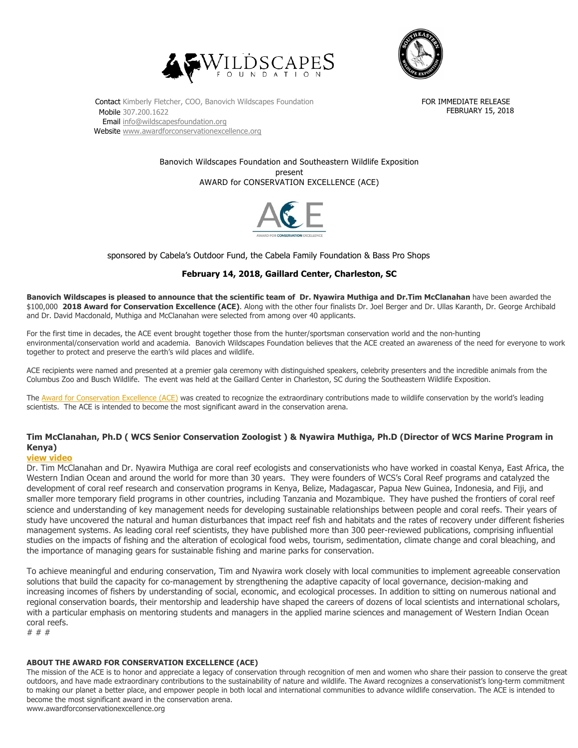



Contact Kimberly Fletcher, COO, Banovich Wildscapes Foundation Mobile 307.200.1622 Email info@wildscapesfoundation.org Website www.awardforconservationexcellence.org

FOR IMMEDIATE RELEASE FEBRUARY 15, 2018

Banovich Wildscapes Foundation and Southeastern Wildlife Exposition present AWARD for CONSERVATION EXCELLENCE (ACE)



sponsored by Cabela's Outdoor Fund, the Cabela Family Foundation & Bass Pro Shops

## **February 14, 2018, Gaillard Center, Charleston, SC**

Banovich Wildscapes is pleased to announce that the scientific team of Dr. Nyawira Muthiga and Dr.Tim McClanahan have been awarded the \$100,000 **2018 Award for Conservation Excellence (ACE)**. Along with the other four finalists Dr. Joel Berger and Dr. Ullas Karanth, Dr. George Archibald and Dr. David Macdonald, Muthiga and McClanahan were selected from among over 40 applicants.

For the first time in decades, the ACE event brought together those from the hunter/sportsman conservation world and the non-hunting environmental/conservation world and academia. Banovich Wildscapes Foundation believes that the ACE created an awareness of the need for everyone to work together to protect and preserve the earth's wild places and wildlife.

ACE recipients were named and presented at a premier gala ceremony with distinguished speakers, celebrity presenters and the incredible animals from the Columbus Zoo and Busch Wildlife. The event was held at the Gaillard Center in Charleston, SC during the Southeastern Wildlife Exposition.

The Award for Conservation Excellence (ACE) was created to recognize the extraordinary contributions made to wildlife conservation by the world's leading scientists. The ACE is intended to become the most significant award in the conservation arena.

# **Tim McClanahan, Ph.D ( WCS Senior Conservation Zoologist ) & Nyawira Muthiga, Ph.D (Director of WCS Marine Program in Kenya)**

# **view video**

Dr. Tim McClanahan and Dr. Nyawira Muthiga are coral reef ecologists and conservationists who have worked in coastal Kenya, East Africa, the Western Indian Ocean and around the world for more than 30 years. They were founders of WCS's Coral Reef programs and catalyzed the development of coral reef research and conservation programs in Kenya, Belize, Madagascar, Papua New Guinea, Indonesia, and Fiji, and smaller more temporary field programs in other countries, including Tanzania and Mozambique. They have pushed the frontiers of coral reef science and understanding of key management needs for developing sustainable relationships between people and coral reefs. Their years of study have uncovered the natural and human disturbances that impact reef fish and habitats and the rates of recovery under different fisheries management systems. As leading coral reef scientists, they have published more than 300 peer-reviewed publications, comprising influential studies on the impacts of fishing and the alteration of ecological food webs, tourism, sedimentation, climate change and coral bleaching, and the importance of managing gears for sustainable fishing and marine parks for conservation.

To achieve meaningful and enduring conservation, Tim and Nyawira work closely with local communities to implement agreeable conservation solutions that build the capacity for co-management by strengthening the adaptive capacity of local governance, decision-making and increasing incomes of fishers by understanding of social, economic, and ecological processes. In addition to sitting on numerous national and regional conservation boards, their mentorship and leadership have shaped the careers of dozens of local scientists and international scholars, with a particular emphasis on mentoring students and managers in the applied marine sciences and management of Western Indian Ocean coral reefs.

# # #

### **ABOUT THE AWARD FOR CONSERVATION EXCELLENCE (ACE)**

The mission of the ACE is to honor and appreciate a legacy of conservation through recognition of men and women who share their passion to conserve the great outdoors, and have made extraordinary contributions to the sustainability of nature and wildlife. The Award recognizes a conservationist's long-term commitment to making our planet a better place, and empower people in both local and international communities to advance wildlife conservation. The ACE is intended to become the most significant award in the conservation arena.

www.awardforconservationexcellence.org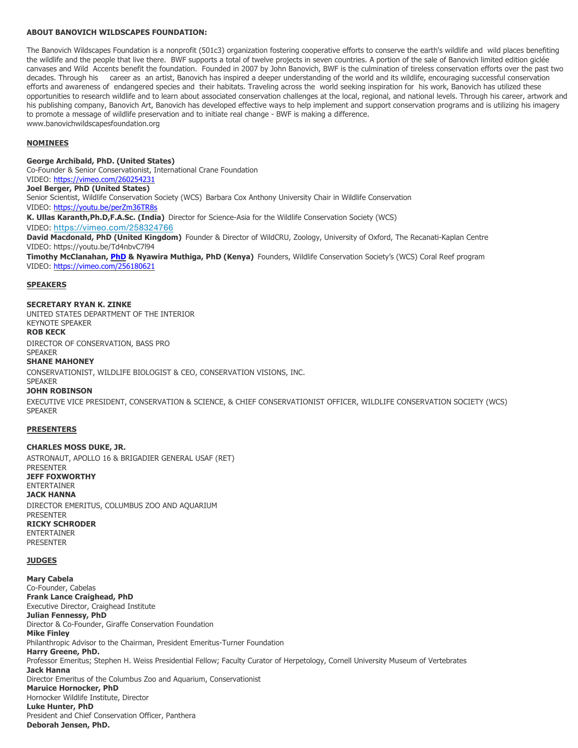### **ABOUT BANOVICH WILDSCAPES FOUNDATION:**

The Banovich Wildscapes Foundation is a nonprofit (501c3) organization fostering cooperative efforts to conserve the earth's wildlife and wild places benefiting the wildlife and the people that live there. BWF supports a total of twelve projects in seven countries. A portion of the sale of Banovich limited edition giclée canvases and Wild Accents benefit the foundation. Founded in 2007 by John Banovich, BWF is the culmination of tireless conservation efforts over the past two decades. Through his career as an artist, Banovich has inspired a deeper understanding of the world and its wildlife, encouraging successful conservation efforts and awareness of endangered species and their habitats. Traveling across the world seeking inspiration for his work, Banovich has utilized these opportunities to research wildlife and to learn about associated conservation challenges at the local, regional, and national levels. Through his career, artwork and his publishing company, Banovich Art, Banovich has developed effective ways to help implement and support conservation programs and is utilizing his imagery to promote a message of wildlife preservation and to initiate real change - BWF is making a difference. www.banovichwildscapesfoundation.org

### **NOMINEES**

**George Archibald, PhD. (United States)** Co-Founder & Senior Conservationist, International Crane Foundation VIDEO: https://vimeo.com/260254231 **Joel Berger, PhD (United States)** Senior Scientist, Wildlife Conservation Society (WCS) Barbara Cox Anthony University Chair in Wildlife Conservation VIDEO: https://youtu.be/perZm36TR8s **K. Ullas Karanth,Ph.D,F.A.Sc. (India)** Director for Science-Asia for the Wildlife Conservation Society (WCS) VIDEO: https://vimeo.com/258324766 David Macdonald, PhD (United Kingdom) Founder & Director of WildCRU, Zoology, University of Oxford, The Recanati-Kaplan Centre VIDEO: https://youtu.be/Td4nbvC7l94 **Timothy McClanahan, PhD & Nyawira Muthiga, PhD (Kenya)** Founders, Wildlife Conservation Society's (WCS) Coral Reef program VIDEO: https://vimeo.com/256180621

### **SPEAKERS**

#### **SECRETARY RYAN K. ZINKE**

UNITED STATES DEPARTMENT OF THE INTERIOR KEYNOTE SPEAKER **ROB KECK** DIRECTOR OF CONSERVATION, BASS PRO SPEAKER

#### **SHANE MAHONEY**

CONSERVATIONIST, WILDLIFE BIOLOGIST & CEO, CONSERVATION VISIONS, INC.

# SPEAKER

**JOHN ROBINSON**

EXECUTIVE VICE PRESIDENT, CONSERVATION & SCIENCE, & CHIEF CONSERVATIONIST OFFICER, WILDLIFE CONSERVATION SOCIETY (WCS) SPEAKER

#### **PRESENTERS**

#### **CHARLES MOSS DUKE, JR.**

ASTRONAUT, APOLLO 16 & BRIGADIER GENERAL USAF (RET) PRESENTER **JEFF FOXWORTHY** ENTERTAINER **JACK HANNA** DIRECTOR EMERITUS, COLUMBUS ZOO AND AQUARIUM **PRESENTER RICKY SCHRODER** ENTERTAINER PRESENTER

#### **JUDGES**

**Mary Cabela** Co-Founder, Cabelas **Frank Lance Craighead, PhD** Executive Director, Craighead Institute **Julian Fennessy, PhD** Director & Co-Founder, Giraffe Conservation Foundation **Mike Finley** Philanthropic Advisor to the Chairman, President Emeritus-Turner Foundation **Harry Greene, PhD.** Professor Emeritus; Stephen H. Weiss Presidential Fellow; Faculty Curator of Herpetology, Cornell University Museum of Vertebrates **Jack Hanna** Director Emeritus of the Columbus Zoo and Aquarium, Conservationist **Maruice Hornocker, PhD** Hornocker Wildlife Institute, Director **Luke Hunter, PhD** President and Chief Conservation Officer, Panthera **Deborah Jensen, PhD.**